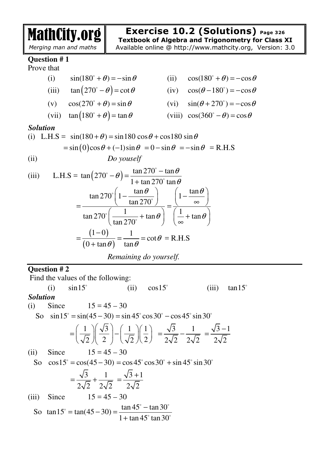MathCity.org

## *Merging man and maths*

**Exercise 10.2 (Solutions) Page 326 Textbook of Algebra and Trigonometry for Class XI** 

Available online @ http://www.mathcity.org, Version: 3.0

## **Question # 1**

Prove that

(i)  $\sin(180^\circ + \theta) = -\sin \theta$ (ii)  $\cos(180^\circ + \theta) = -\cos\theta$ (iii)  $\tan (270^\circ - \theta) = \cot \theta$ (iv)  $\cos(\theta - 180^\circ) = -\cos\theta$ (v)  $\cos(270^\circ + \theta) = \sin \theta$ (vi)  $\sin(\theta + 270^\circ) = -\cos\theta$ (vii)  $\tan (180^\circ + \theta) = \tan \theta$ (viii)  $\cos(360^\circ - \theta) = \cos \theta$ 

*Solution* 

(i) L.H.S = 
$$
sin(180 + \theta) = sin 180 cos \theta + cos 180 sin \theta
$$
  
=  $sin(0)cos \theta + (-1)sin \theta = 0 - sin \theta = -sin \theta = R.H.S$ 

(ii) *Do youself*

(iii) L.H.S = 
$$
\tan(270^\circ - \theta) = \frac{\tan 270^\circ - \tan \theta}{1 + \tan 270^\circ \tan \theta}
$$
  
\n
$$
= \frac{\tan 270^\circ \left(1 - \frac{\tan \theta}{\tan 270^\circ}\right)}{\tan 270^\circ \left(\frac{1}{\tan 270^\circ} + \tan \theta\right)} = \frac{\left(1 - \frac{\tan \theta}{\infty}\right)}{\left(\frac{1}{\infty} + \tan \theta\right)}
$$
\n
$$
= \frac{\left(1 - 0\right)}{\left(0 + \tan \theta\right)} = \frac{1}{\tan \theta} = \cot \theta = \text{R.H.S}
$$

*Remaining do yourself.* 

## **Question # 2**

Find the values of the following:

(i) 
$$
sin 15^\circ
$$
 (ii)  $cos 15^\circ$  (iii)  $tan 15^\circ$ 

(i) Since  $15 = 45 - 30$ 

So  $\sin 15^\circ = \sin(45 - 30) = \sin 45^\circ \cos 30^\circ - \cos 45^\circ \sin 30^\circ$ 

$$
= \left(\frac{1}{\sqrt{2}}\right) \left(\frac{\sqrt{3}}{2}\right) - \left(\frac{1}{\sqrt{2}}\right) \left(\frac{1}{2}\right) = \frac{\sqrt{3}}{2\sqrt{2}} - \frac{1}{2\sqrt{2}} = \frac{\sqrt{3}-1}{2\sqrt{2}}
$$

(ii) Since  $15 = 45 - 30$ 

So  $\cos 15^\circ = \cos(45 - 30) = \cos 45^\circ \cos 30^\circ + \sin 45^\circ \sin 30^\circ$ 3 1  $2\sqrt{2}$   $2\sqrt{2}$  $=\frac{\sqrt{3}}{2\sqrt{2}}+$  $3 + 1$  $2\sqrt{2}$ +  $=\frac{\sqrt{3}+1}{2\sqrt{2}}$ (iii) Since  $15 = 45 - 30$ So  $\tan 15^\circ = \tan(45 - 30) = \frac{\tan 45^\circ - \tan 30^\circ}{1 - \tan 45^\circ - 30^\circ}$  $\circ$ 

$$
an 15^\circ = \tan(45 - 30) = \frac{\tan 45^\circ \tan 30^\circ}{1 + \tan 45^\circ \tan 30^\circ}
$$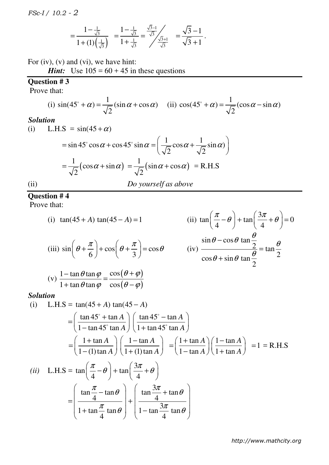$$
=\frac{1-\frac{1}{\sqrt{3}}}{1+(1)(\frac{1}{\sqrt{3}})}=\frac{1-\frac{1}{\sqrt{3}}}{1+\frac{1}{\sqrt{3}}}=\frac{\frac{\sqrt{3}-1}{\sqrt{3}}}{\frac{\sqrt{3}+1}{\sqrt{3}}}=\frac{\sqrt{3}-1}{\sqrt{3}+1}.
$$

For (iv), (v) and (vi), we have hint:

*Hint:* Use  $105 = 60 + 45$  in these questions

## **Question # 3**

Prove that:

(i) 
$$
\sin(45^\circ + \alpha) = \frac{1}{\sqrt{2}} (\sin \alpha + \cos \alpha)
$$
 (ii)  $\cos(45^\circ + \alpha) = \frac{1}{\sqrt{2}} (\cos \alpha - \sin \alpha)$ 

## *Solution*

(i) L.H.S = 
$$
sin(45 + \alpha)
$$
  
\n
$$
= sin 45^\circ cos \alpha + cos 45^\circ sin \alpha = \left(\frac{1}{\sqrt{2}}cos \alpha + \frac{1}{\sqrt{2}}sin \alpha\right)
$$
\n
$$
= \frac{1}{\sqrt{2}}(cos \alpha + sin \alpha) = \frac{1}{\sqrt{2}}(sin \alpha + cos \alpha) = R.H.S
$$
\n(ii) *Do yourself as above*

#### **Question # 4**

Prove that:

(i) 
$$
\tan(45 + A) \tan(45 - A) = 1
$$
  
\n(ii)  $\tan\left(\frac{\pi}{4} - \theta\right) + \tan\left(\frac{3\pi}{4} + \theta\right) = 0$   
\n(iii)  $\sin\left(\theta + \frac{\pi}{6}\right) + \cos\left(\theta + \frac{\pi}{3}\right) = \cos\theta$   
\n(iv)  $\frac{\sin\theta - \cos\theta \tan\frac{\theta}{2}}{\cos\theta + \sin\theta \tan\frac{\theta}{2}} = \tan\frac{\theta}{2}$   
\n(v)  $\frac{1 - \tan\theta \tan\varphi}{1 + \tan\theta \tan\varphi} = \frac{\cos(\theta + \varphi)}{\cos(\theta - \varphi)}$ 

## *Solution*

(i) L.H.S = 
$$
\tan(45 + A) \tan(45 - A)
$$
  
\n
$$
= \left(\frac{\tan 45^\circ + \tan A}{1 - \tan 45^\circ \tan A}\right) \left(\frac{\tan 45^\circ - \tan A}{1 + \tan 45^\circ \tan A}\right)
$$
\n
$$
= \left(\frac{1 + \tan A}{1 - (1) \tan A}\right) \left(\frac{1 - \tan A}{1 + (1) \tan A}\right) = \left(\frac{1 + \tan A}{1 - \tan A}\right) \left(\frac{1 - \tan A}{1 + \tan A}\right) = 1 = R.H.S
$$
\n(ii) L.H.S =  $\tan\left(\frac{\pi}{4} - \theta\right) + \tan\left(\frac{3\pi}{4} + \theta\right)$   
\n
$$
= \left(\frac{\tan\frac{\pi}{4} - \tan\theta}{1 + \tan\frac{\pi}{4} \tan\theta}\right) + \left(\frac{\tan\frac{3\pi}{4} + \tan\theta}{1 - \tan\frac{3\pi}{4} \tan\theta}\right)
$$

*http://www.mathcity.org*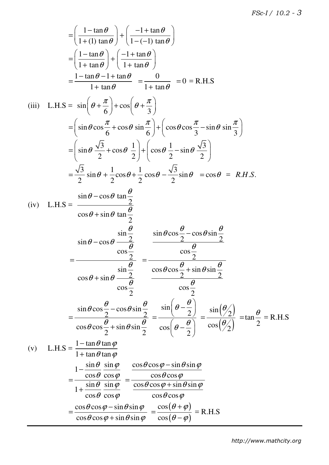$$
= \left(\frac{1-\tan\theta}{1+(1)\tan\theta}\right) + \left(\frac{-1+\tan\theta}{1-(-1)\tan\theta}\right)
$$
  
\n
$$
= \left(\frac{1-\tan\theta}{1+\tan\theta}\right) + \left(\frac{-1+\tan\theta}{1+\tan\theta}\right)
$$
  
\n
$$
= \frac{1-\tan\theta-1+\tan\theta}{1+\tan\theta} = \frac{0}{1+\tan\theta} = 0 = \text{R.H.S}
$$
  
\n(iii) L.H.S =  $\sin\left(\theta + \frac{\pi}{6}\right) + \cos\left(\theta + \frac{\pi}{3}\right)$   
\n
$$
= \left(\sin\theta\cos\frac{\pi}{6} + \cos\theta\sin\frac{\pi}{6}\right) + \left(\cos\theta\cos\frac{\pi}{3} - \sin\theta\sin\frac{\pi}{3}\right)
$$
  
\n
$$
= \left(\sin\theta\frac{\sqrt{3}}{2} + \cos\theta\frac{1}{2}\right) + \left(\cos\theta\frac{1}{2} - \sin\theta\frac{\sqrt{3}}{2}\right)
$$
  
\n
$$
= \frac{\sqrt{3}}{2}\sin\theta + \frac{1}{2}\cos\theta + \frac{1}{2}\cos\theta - \frac{\sqrt{3}}{2}\sin\theta = \cos\theta = \text{R.H.S.}
$$
  
\n(iv) L.H.S =  $\frac{\sin\theta - \cos\theta \tan\frac{\theta}{2}}{\cos\theta + \sin\theta \tan\frac{\theta}{2}}$   
\n
$$
= \frac{\sin\theta - \cos\theta \frac{\sin\frac{\theta}{2}}{\cos\frac{\theta}{2}}}{\cos\theta + \sin\theta \tan\frac{\theta}{2}}
$$
  
\n
$$
= \frac{\sin\theta \cos\frac{\theta}{2} - \cos\theta \sin\frac{\theta}{2}}{\cos\frac{\theta}{2}} = \frac{\cos\theta \cos\frac{\theta}{2} + \sin\theta \sin\frac{\theta}{2}}{\cos\frac{\theta}{2}}
$$
  
\n
$$
= \frac{\sin\theta \cos\frac{\theta}{2} - \cos\theta \sin\frac{\theta}{2}}{\cos\theta \cos\frac{\theta}{2} + \sin\theta \sin\frac{\theta}{2}} = \frac{\sin\left(\theta - \frac{\theta}{2}\right)}{\cos\left(\theta - \frac{\theta}{2}\right)} = \frac{\sin\left(\frac{\theta}{2}\right)}{\cos\left(\frac{\theta}{2}\right)} = \tan
$$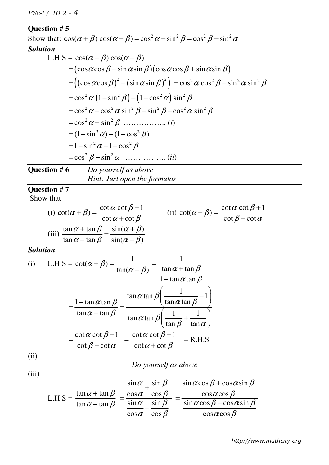## **Question # 5**

Show that:  $\cos(\alpha + \beta) \cos(\alpha - \beta) = \cos^2 \alpha - \sin^2 \beta = \cos^2 \beta - \sin^2 \alpha$ *Solution*  L.H.S =  $\cos(\alpha + \beta) \cos(\alpha - \beta)$  $= (\cos \alpha \cos \beta - \sin \alpha \sin \beta)(\cos \alpha \cos \beta + \sin \alpha \sin \beta)$  $=\left(\left(\cos\alpha\cos\beta\right)^{2} - \left(\sin\alpha\sin\beta\right)^{2}\right) = \cos^{2}\alpha\cos^{2}\beta - \sin^{2}\alpha\sin^{2}\beta$  $=\cos^2 \alpha (1-\sin^2 \beta)-(1-\cos^2 \alpha)\sin^2 \beta$  $= cos^2 \alpha - cos^2 \alpha sin^2 \beta - sin^2 \beta + cos^2 \alpha sin^2 \beta$ 2 2 = − cos sin <sup>α</sup> β …………….. (*i*)  $= (1 - \sin^2 \alpha) - (1 - \cos^2 \beta)$  $= 1 - \sin^2 \alpha - 1 + \cos^2 \beta$ 2 2 = − cos sin β <sup>α</sup> …………….. (*ii*) **Question # 6** *Do yourself as above Hint: Just open the formulas*

## **Question # 7**

Show that

(i) 
$$
\cot(\alpha + \beta) = \frac{\cot \alpha \cot \beta - 1}{\cot \alpha + \cot \beta}
$$
 (ii)  $\cot(\alpha - \beta) = \frac{\cot \alpha \cot \beta + 1}{\cot \beta - \cot \alpha}$   
(iii)  $\frac{\tan \alpha + \tan \beta}{\tan \alpha - \tan \beta} = \frac{\sin(\alpha + \beta)}{\sin(\alpha - \beta)}$ 

*Solution* 

(i) L.H.S = 
$$
\cot(\alpha + \beta) = \frac{1}{\tan(\alpha + \beta)} = \frac{1}{\tan \alpha + \tan \beta}
$$
  
\n
$$
= \frac{1 - \tan \alpha \tan \beta}{\tan \alpha + \tan \beta} = \frac{\tan \alpha \tan \beta \left(\frac{1}{\tan \alpha \tan \beta} - 1\right)}{\tan \alpha \tan \beta \left(\frac{1}{\tan \beta} + \frac{1}{\tan \alpha}\right)}
$$
\n
$$
= \frac{\cot \alpha \cot \beta - 1}{\cot \beta + \cot \alpha} = \frac{\cot \alpha \cot \beta - 1}{\cot \alpha + \cot \beta} = \text{R.H.S}
$$

 $(11)$ 

*Do yourself as above* 

$$
(iii)
$$

L.H.S = 
$$
\frac{\tan \alpha + \tan \beta}{\tan \alpha - \tan \beta} = \frac{\frac{\sin \alpha}{\cos \alpha} + \frac{\sin \beta}{\cos \beta}}{\frac{\sin \alpha}{\cos \alpha} - \frac{\sin \beta}{\cos \beta}} = \frac{\frac{\sin \alpha \cos \beta + \cos \alpha \sin \beta}{\cos \alpha \cos \beta}}{\frac{\sin \alpha \cos \beta - \cos \alpha \sin \beta}{\cos \alpha \cos \beta}}
$$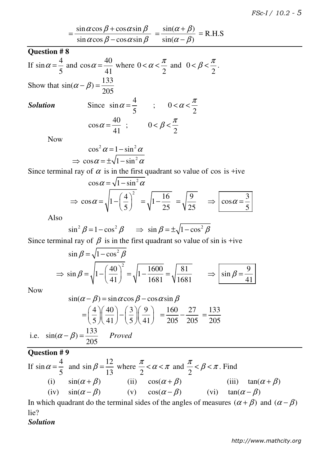$$
= \frac{\sin \alpha \cos \beta + \cos \alpha \sin \beta}{\sin \alpha \cos \beta - \cos \alpha \sin \beta} = \frac{\sin(\alpha + \beta)}{\sin(\alpha - \beta)} = \text{R.H.S}
$$

## **Question # 8**

If 
$$
\sin \alpha = \frac{4}{5}
$$
 and  $\cos \alpha = \frac{40}{41}$  where  $0 < \alpha < \frac{\pi}{2}$  and  $0 < \beta < \frac{\pi}{2}$ .

Show that  $\sin(\alpha - \beta) = \frac{133}{205}$ 205  $\alpha - \beta$ ) =

#### *Solution*

Since 
$$
\sin \alpha = \frac{4}{5}
$$
  $\therefore$   $0 < \alpha < \frac{\pi}{2}$   
\n $\cos \alpha = \frac{40}{41}$   $\therefore$   $0 < \beta < \frac{\pi}{2}$ 

Now

$$
\cos^2 \alpha = 1 - \sin^2 \alpha
$$
  
\n
$$
\Rightarrow \cos \alpha = \pm \sqrt{1 - \sin^2 \alpha}
$$

Since terminal ray of  $\alpha$  is in the first quadrant so value of cos is +ive

$$
\cos \alpha = \sqrt{1 - \sin^2 \alpha}
$$
  
\n
$$
\Rightarrow \cos \alpha = \sqrt{1 - \left(\frac{4}{5}\right)^2} = \sqrt{1 - \frac{16}{25}} = \sqrt{\frac{9}{25}} \Rightarrow \cos \alpha = \frac{3}{5}
$$

Also

$$
\sin^2 \beta = 1 - \cos^2 \beta \implies \sin \beta = \pm \sqrt{1 - \cos^2 \beta}
$$

Since terminal ray of  $\beta$  is in the first quadrant so value of sin is +ive

$$
\sin \beta = \sqrt{1 - \cos^2 \beta}
$$
  
\n
$$
\Rightarrow \sin \beta = \sqrt{1 - \left(\frac{40}{41}\right)^2} = \sqrt{1 - \frac{1600}{1681}} = \sqrt{\frac{81}{1681}} \qquad \Rightarrow \boxed{\sin \beta = \frac{9}{41}}
$$

Now

$$
\sin(\alpha - \beta) = \sin \alpha \cos \beta - \cos \alpha \sin \beta
$$

$$
= \left(\frac{4}{5}\right) \left(\frac{40}{41}\right) - \left(\frac{3}{5}\right) \left(\frac{9}{41}\right) = \frac{160}{205} - \frac{27}{205} = \frac{133}{205}
$$
  
i.e.  $\sin(\alpha - \beta) = \frac{133}{205}$  Proved

**Question # 9** 

If 
$$
\sin \alpha = \frac{4}{5}
$$
 and  $\sin \beta = \frac{12}{13}$  where  $\frac{\pi}{2} < \alpha < \pi$  and  $\frac{\pi}{2} < \beta < \pi$ . Find  
\n(i)  $\sin(\alpha + \beta)$  (ii)  $\cos(\alpha + \beta)$  (iii)  $\tan(\alpha + \beta)$   
\n(iv)  $\sin(\alpha - \beta)$  (v)  $\cos(\alpha - \beta)$  (vi)  $\tan(\alpha - \beta)$ 

In which quadrant do the terminal sides of the angles of measures  $(\alpha + \beta)$  and  $(\alpha - \beta)$ lie?

*Solution*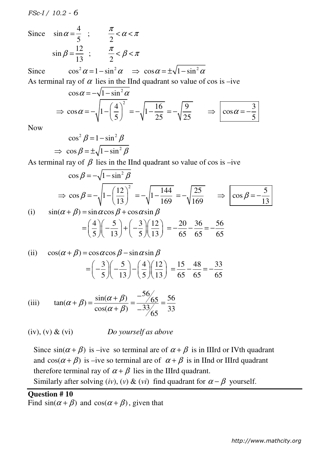Since 
$$
\sin \alpha = \frac{4}{5}
$$
;  $\frac{\pi}{2} < \alpha < \pi$   
\n $\sin \beta = \frac{12}{13}$ ;  $\frac{\pi}{2} < \beta < \pi$ 

Since  $\cos^2 \alpha = 1 - \sin^2 \alpha \implies \cos \alpha = \pm \sqrt{1 - \sin^2 \alpha}$ 

As terminal ray of  $\alpha$  lies in the IInd quadrant so value of cos is –ive

$$
\cos \alpha = -\sqrt{1 - \sin^2 \alpha}
$$
  
\n
$$
\Rightarrow \cos \alpha = -\sqrt{1 - \left(\frac{4}{5}\right)^2} = -\sqrt{1 - \frac{16}{25}} = -\sqrt{\frac{9}{25}} \Rightarrow \cos \alpha = -\frac{3}{5}
$$

Now

$$
\cos^2 \beta = 1 - \sin^2 \beta
$$
  
\n
$$
\Rightarrow \cos \beta = \pm \sqrt{1 - \sin^2 \beta}
$$

As terminal ray of  $\beta$  lies in the IInd quadrant so value of cos is –ive

$$
\cos \beta = -\sqrt{1 - \sin^2 \beta}
$$
  
\n
$$
\Rightarrow \cos \beta = -\sqrt{1 - \left(\frac{12}{13}\right)^2} = -\sqrt{1 - \frac{144}{169}} = -\sqrt{\frac{25}{169}} \Rightarrow \cos \beta = -\frac{5}{13}
$$
  
\n(i)  $\sin(\alpha + \beta) = \sin \alpha \cos \beta + \cos \alpha \sin \beta$ 

$$
= \left(\frac{4}{5}\right)\left(-\frac{5}{13}\right) + \left(-\frac{3}{5}\right)\left(\frac{12}{13}\right) = -\frac{20}{65} - \frac{36}{65} = -\frac{56}{65}
$$

(ii) 
$$
\cos(\alpha + \beta) = \cos\alpha \cos\beta - \sin\alpha \sin\beta
$$

$$
= \left(-\frac{3}{5}\right)\left(-\frac{5}{13}\right) - \left(\frac{4}{5}\right)\left(\frac{12}{13}\right) = \frac{15}{65} - \frac{48}{65} = -\frac{33}{65}
$$

(iii) 
$$
\tan(\alpha + \beta) = \frac{\sin(\alpha + \beta)}{\cos(\alpha + \beta)} = \frac{-56}{-33} = \frac{56}{33}
$$

(iv), (v) & (vi) *Do yourself as above* 

Since  $sin(\alpha + \beta)$  is –ive so terminal are of  $\alpha + \beta$  is in IIIrd or IVth quadrant and  $cos(\alpha + \beta)$  is –ive so terminal are of  $\alpha + \beta$  is in IInd or IIIrd quadrant therefore terminal ray of  $\alpha + \beta$  lies in the IIIrd quadrant.

Similarly after solving (*iv*), (*v*) & (*vi*) find quadrant for  $\alpha - \beta$  yourself.

# **Question # 10**

Find  $sin(\alpha + \beta)$  and  $cos(\alpha + \beta)$ , given that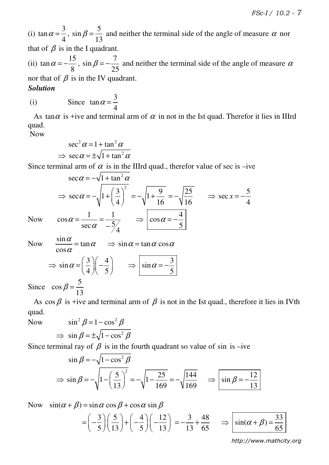(i)  $\tan \alpha = \frac{3}{4}$ 4  $\alpha = \frac{3}{4}$ , 5 sin 13  $\beta = \frac{6}{10}$  and neither the terminal side of the angle of measure  $\alpha$  nor that of  $\beta$  is in the I quadrant.

(ii)  $\tan \alpha = -\frac{15}{9}$ 8  $\alpha = -\frac{15}{\alpha},$ 7 sin 25  $\beta = -\frac{1}{2\pi}$  and neither the terminal side of the angle of measure  $\alpha$ nor that of  $\beta$  is in the IV quadrant.

# *Solution*

(i) Since  $\tan \alpha = \frac{3}{4}$ 4  $\alpha =$ 

As tan $\alpha$  is +ive and terminal arm of  $\alpha$  in not in the Ist quad. Therefor it lies in IIIrd quad.

Now

$$
\sec^2 \alpha = 1 + \tan^2 \alpha
$$
  
\n
$$
\Rightarrow \sec \alpha = \pm \sqrt{1 + \tan^2 \alpha}
$$

Since terminal arm of  $\alpha$  is in the IIIrd quad., therefor value of sec is –ive

$$
\sec \alpha = -\sqrt{1 + \tan^2 \alpha}
$$
  
\n
$$
\Rightarrow \sec \alpha = -\sqrt{1 + \left(\frac{3}{4}\right)^2} = -\sqrt{1 + \frac{9}{16}} = -\sqrt{\frac{25}{16}} \Rightarrow \sec x = -\frac{5}{4}
$$
  
\nNow  $\cos \alpha = \frac{1}{\sec \alpha} = \frac{1}{-5/4} \Rightarrow \cos \alpha = -\frac{4}{5}$ 

4 Now  $\frac{\sin \alpha}{\alpha} = \tan \alpha$ cos α α  $\frac{\alpha}{\alpha}$  = tan  $\alpha$   $\Rightarrow$  sin  $\alpha$  = tan  $\alpha$  cos  $\alpha$ 

$$
\Rightarrow \sin \alpha = \left(\frac{3}{4}\right)\left(-\frac{4}{5}\right) \Rightarrow \left|\sin \alpha = -\frac{3}{5}\right|
$$

Since  $\cos \beta = \frac{5}{16}$ 13  $\beta$  =

As  $\cos \beta$  is +ive and terminal arm of  $\beta$  is not in the Ist quad., therefore it lies in IVth quad.

Now 
$$
\sin^2 \beta = 1 - \cos^2 \beta
$$
  
\n $\Rightarrow \sin \beta = \pm \sqrt{1 - \cos^2 \beta}$ 

Since terminal ray of  $\beta$  is in the fourth quadrant so value of sin is –ive

$$
\sin \beta = -\sqrt{1 - \cos^2 \beta}
$$
  
\n
$$
\Rightarrow \sin \beta = -\sqrt{1 - \left(\frac{5}{13}\right)^2} = -\sqrt{1 - \frac{25}{169}} = -\sqrt{\frac{144}{169}} \Rightarrow \sin \beta = -\frac{12}{13}
$$

Now  $\sin(\alpha + \beta) = \sin \alpha \cos \beta + \cos \alpha \sin \beta$ 

$$
= \left(-\frac{3}{5}\right)\left(\frac{5}{13}\right) + \left(-\frac{4}{5}\right)\left(-\frac{12}{13}\right) = -\frac{3}{13} + \frac{48}{65} \implies \boxed{\sin(\alpha + \beta) = \frac{33}{65}}
$$

*http://www.mathcity.org*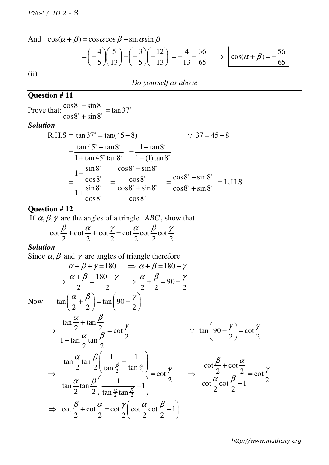And 
$$
\cos(\alpha + \beta) = \cos \alpha \cos \beta - \sin \alpha \sin \beta
$$
  
\n
$$
= \left(-\frac{4}{5}\right) \left(\frac{5}{13}\right) - \left(-\frac{3}{5}\right) \left(-\frac{12}{13}\right) = -\frac{4}{13} - \frac{36}{65} \implies \cos(\alpha + \beta) = -\frac{56}{65}
$$
  
\n(ii)

# **Question # 11**

Prove that:  $\frac{\cos 8^\circ - \sin 8^\circ}{\cos 6^\circ - \cos 6^\circ} = \tan 37$  $\cos 8^\circ + \sin 8$ − = +  $\circ$   $\cdot$   $\cdot$   $\circ$   $\circ$  $\circ$  $\overline{\circ}$   $\overline{\bullet}$   $\overline{\bullet}$   $\overline{\bullet}$ *Solution*   $R.H.S = \tan 37^\circ = \tan(45 - 8)$  $\therefore$  37 = 45 − 8  $\tan 45^\circ - \tan 8$  $1 + \tan 45^\circ \tan 8$ − = +  $\circ$   $\qquad \qquad \bullet$   $\qquad \bullet$  $\frac{u \ln 6}{2400}$  $1 - \tan 8$  $1 + (1) \tan 8$ − = +  $\circ$  $\overline{\phantom{0}}\phantom{0}$  $1-\frac{\sin 8}{\cos 6}$ cos8  $1+\frac{\sin 8}{\cos 6}$ cos8 − = +  $\circ$  $\overline{\phantom{0}}$  $\overline{\phantom{0}}\phantom{0}$  $\overline{\phantom{0}}\phantom{0}$  $\cos 8^\circ - \sin 8$ cos8  $\cos 8^\circ + \sin 8$ cos8 − = +  $\circ$   $\cdot$   $\cdot$   $\circ$  $\overline{\phantom{0}}$  $\overline{\cdot \cdot \cdot \cdot}$  $\overline{\phantom{0}}$  $\cos 8^\circ - \sin 8$  $\cos 8^\circ + \sin 8$ − = +  $\circ$   $\cdot$   $\cdot$   $\circ$   $\circ$  $\frac{\sin \theta}{\sin \theta}$  = L.H.S

### **Question # 12**

If  $\alpha, \beta, \gamma$  are the angles of a tringle *ABC*, show that

$$
\cot\frac{\beta}{2} + \cot\frac{\alpha}{2} + \cot\frac{\gamma}{2} = \cot\frac{\alpha}{2}\cot\frac{\beta}{2}\cot\frac{\gamma}{2}
$$

#### *Solution*

Since  $\alpha, \beta$  and  $\gamma$  are angles of triangle therefore

$$
\alpha + \beta + \gamma = 180 \implies \alpha + \beta = 180 - \gamma
$$
  
\n
$$
\Rightarrow \frac{\alpha + \beta}{2} = \frac{180 - \gamma}{2} \implies \frac{\alpha}{2} + \frac{\beta}{2} = 90 - \frac{\gamma}{2}
$$
  
\nNow  $\tan\left(\frac{\alpha}{2} + \frac{\beta}{2}\right) = \tan\left(90 - \frac{\gamma}{2}\right)$   
\n
$$
\Rightarrow \frac{\tan\frac{\alpha}{2} + \tan\frac{\beta}{2}}{1 - \tan\frac{\alpha}{2}\tan\frac{\beta}{2}} = \cot\frac{\gamma}{2} \implies \tan\left(90 - \frac{\gamma}{2}\right) = \cot\frac{\gamma}{2}
$$
  
\n
$$
\Rightarrow \frac{\tan\frac{\alpha}{2}\tan\frac{\beta}{2}\left(\frac{1}{\tan\frac{\beta}{2}} + \frac{1}{\tan\frac{\alpha}{2}}\right)}{\tan\frac{\alpha}{2}\tan\frac{\beta}{2}\left(\frac{1}{\tan\frac{\alpha}{2}\tan\frac{\beta}{2}} - 1\right)} = \cot\frac{\gamma}{2} \implies \frac{\cot\frac{\beta}{2} + \cot\frac{\alpha}{2}}{\cot\frac{\alpha}{2}\cot\frac{\beta}{2} - 1} = \cot\frac{\gamma}{2}
$$
  
\n
$$
\Rightarrow \cot\frac{\beta}{2} + \cot\frac{\alpha}{2} = \cot\frac{\gamma}{2}\left(\cot\frac{\alpha}{2}\cot\frac{\beta}{2} - 1\right)
$$

*http://www.mathcity.org*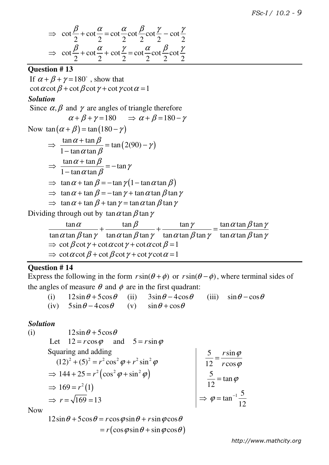$$
\Rightarrow \cot \frac{\beta}{2} + \cot \frac{\alpha}{2} = \cot \frac{\alpha}{2} \cot \frac{\beta}{2} \cot \frac{\gamma}{2} - \cot \frac{\gamma}{2}
$$
  

$$
\Rightarrow \cot \frac{\beta}{2} + \cot \frac{\alpha}{2} + \cot \frac{\gamma}{2} = \cot \frac{\alpha}{2} \cot \frac{\beta}{2} \cot \frac{\gamma}{2}
$$

#### **Question # 13**

If  $\alpha + \beta + \gamma = 180^{\circ}$ , show that cot  $\alpha$  cot  $\beta$  + cot  $\beta$  cot  $\gamma$  + cot  $\gamma$  cot  $\alpha$  = 1 *Solution*  Since  $\alpha$ ,  $\beta$  and  $\gamma$  are angles of triangle therefore  $\alpha + \beta + \gamma = 180 \implies \alpha + \beta = 180 - \gamma$ Now  $\tan (\alpha + \beta) = \tan (180 - \gamma)$ 

$$
\Rightarrow \frac{\tan \alpha + \tan \beta}{1 - \tan \alpha \tan \beta} = \tan (2(90) - \gamma)
$$
  
\n
$$
\Rightarrow \frac{\tan \alpha + \tan \beta}{1 - \tan \alpha \tan \beta} = -\tan \gamma
$$
  
\n
$$
\Rightarrow \tan \alpha + \tan \beta = -\tan \gamma (1 - \tan \alpha \tan \beta)
$$
  
\n
$$
\Rightarrow \tan \alpha + \tan \beta = -\tan \gamma + \tan \alpha \tan \beta \tan \gamma
$$
  
\n
$$
\Rightarrow \tan \alpha + \tan \beta + \tan \gamma = \tan \alpha \tan \beta \tan \gamma
$$

Dividing through out by  $\tan \alpha \tan \beta \tan \gamma$ 

| $\tan \alpha$                                                                                     | $\tan \beta$                                                                                      | $\tan \gamma$                                                                                                                                       | $\tan \alpha \tan \beta \tan \gamma$ |  |  |  |  |
|---------------------------------------------------------------------------------------------------|---------------------------------------------------------------------------------------------------|-----------------------------------------------------------------------------------------------------------------------------------------------------|--------------------------------------|--|--|--|--|
|                                                                                                   |                                                                                                   | $\tan \alpha \tan \beta \tan \gamma$ $\tan \alpha \tan \beta \tan \gamma$ $\tan \alpha \tan \beta \tan \gamma$ $\tan \alpha \tan \beta \tan \gamma$ |                                      |  |  |  |  |
| $\Rightarrow$ cot $\beta$ cot $\gamma$ + cot $\alpha$ cot $\gamma$ + cot $\alpha$ cot $\beta$ = 1 |                                                                                                   |                                                                                                                                                     |                                      |  |  |  |  |
|                                                                                                   | $\Rightarrow$ cot $\alpha$ cot $\beta$ + cot $\beta$ cot $\gamma$ + cot $\gamma$ cot $\alpha$ = 1 |                                                                                                                                                     |                                      |  |  |  |  |

#### **Question # 14**

Express the following in the form  $r\sin(\theta + \phi)$  or  $r\sin(\theta - \phi)$ , where terminal sides of the angles of measure  $\theta$  and  $\phi$  are in the first quadrant:

| (i) $12\sin\theta + 5\cos\theta$ (ii) $3\sin\theta - 4\cos\theta$ (iii) $\sin\theta - \cos\theta$ |  |  |
|---------------------------------------------------------------------------------------------------|--|--|
| (iv) $5\sin\theta - 4\cos\theta$ (v) $\sin\theta + \cos\theta$                                    |  |  |

#### *Solution*

(i)  $12\sin\theta + 5\cos\theta$ Let  $12 = r \cos \varphi$  and  $5 = r \sin \varphi$ Squaring and adding  $(12)^{2} + (5)^{2} = r^{2} \cos^{2} \varphi + r^{2} \sin^{2} \varphi$  $\Rightarrow$  144 + 25 =  $r^2(\cos^2 \varphi + \sin^2 \varphi)$  $\Rightarrow 169 = r^2(1)$  $\Rightarrow$   $r = \sqrt{169} = 13$ 5  $\sqrt{rsin}$  $12$   $rcos$ *r r*  $\varphi$  $\varphi$ = 5 tan 12  $=$  tan  $\varphi$  $tan^{-1}\frac{5}{16}$ 12  $\Rightarrow$   $\varphi = \tan^{-1}$ 

Now

 $12\sin\theta + 5\cos\theta = r\cos\varphi\sin\theta + r\sin\varphi\cos\theta$  $r(\cos\varphi\sin\theta + \sin\varphi\cos\theta)$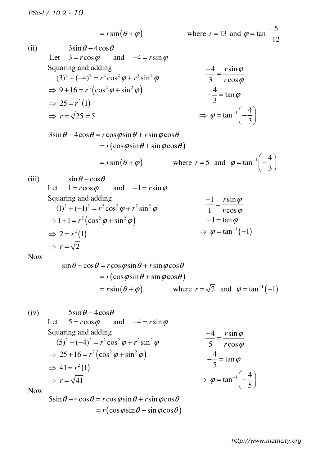$$
= r \sin(\theta + \varphi)
$$

$$
= r \sin(\theta + \varphi) \qquad \qquad \text{where } r = 13 \text{ and } \varphi = \tan^{-1} \frac{5}{12}
$$

(ii) 
$$
3\sin\theta - 4\cos\theta
$$
  
\nLet  $3 = r\cos\varphi$  and  $-4 = r\sin\varphi$   
\nSquaring and adding  
\n $(3)^2 + (-4)^2 = r^2\cos^2\varphi + r^2\sin^2\varphi$   
\n $\Rightarrow 9 + 16 = r^2(\cos^2\varphi + \sin^2\varphi)$   
\n $\Rightarrow 25 = r^2(1)$   
\n $\Rightarrow r = \sqrt{25} = 5$   
\n $\Rightarrow \varphi = \tan^{-1}\left(-\frac{4}{3}\right)$ 

 $3\sin\theta - 4\cos\theta = r\cos\varphi\sin\theta + r\sin\varphi\cos\theta$  $= r(\cos\varphi\sin\theta + \sin\varphi\cos\theta)$ 

$$
= r \sin(\theta + \varphi)
$$

$$
= r \sin(\theta + \varphi) \qquad \text{where } r = 5 \text{ and } \varphi = \tan^{-1}\left(-\frac{4}{3}\right)
$$

(iii)  $\sin \theta - \cos \theta$ Let  $1 = r \cos \varphi$  and  $-1 = r \sin \varphi$ Squaring and adding  $(1)^{2} + (-1)^{2} = r^{2} \cos^{2} \varphi + r^{2} \sin^{2} \varphi$  $\Rightarrow$  1+1= $r^2(\cos^2 \varphi + \sin^2 \varphi)$  $\Rightarrow$  2 =  $r^2$ (1)  $\Rightarrow$   $r = \sqrt{2}$ 1  $r \sin$  $1$   $r \cos$ *r r*  $\varphi$  $\varphi$ − =  $-1 = \tan \varphi$  $\Rightarrow$   $\varphi = \tan^{-1}(-1)$ 

Now

$$
\sin \theta - \cos \theta = r \cos \varphi \sin \theta + r \sin \varphi \cos \theta
$$
  
=  $r(\cos \varphi \sin \theta + \sin \varphi \cos \theta)$   
=  $r \sin (\theta + \varphi)$  where  $r = \sqrt{2}$  and  $\varphi = \tan^{-1}(-1)$ 

(iv) 
$$
5\sin\theta - 4\cos\theta
$$
  
\nLet  $5 = r\cos\varphi$  and  $-4 = r\sin\varphi$   
\nSquaring and adding  
\n $(5)^2 + (-4)^2 = r^2\cos^2\varphi + r^2\sin^2\varphi$   
\n $\Rightarrow 25 + 16 = r^2(\cos^2\varphi + \sin^2\varphi)$   
\n $\Rightarrow 41 = r^2(1)$   
\n $\Rightarrow r = \sqrt{41}$   
\nNow  
\n $\Rightarrow \varphi = \tan^{-1}\left(-\frac{4}{5}\right)$ 

Now

 $5\sin\theta - 4\cos\theta = r\cos\varphi\sin\theta + r\sin\varphi\cos\theta$  $= r(\cos\varphi\sin\theta + \sin\varphi\cos\theta)$